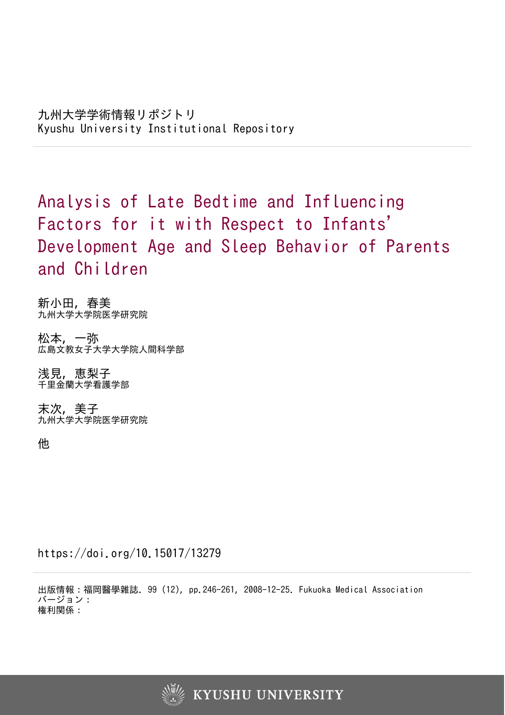Analysis of Late Bedtime and Influencing Factors for it with Respect to Infants 'Development Age and Sleep Behavior of Parents and Children

新小田, 春美 九州大学大学院医学研究院

松本, 一弥 広島文教女子大学大学院人間科学部

浅見, 恵梨子 千里金蘭大学看護学部

末次, 美子 九州大学大学院医学研究院

他

https://doi.org/10.15017/13279

出版情報:福岡醫學雜誌. 99 (12), pp.246-261, 2008-12-25. Fukuoka Medical Association バージョン: 権利関係:

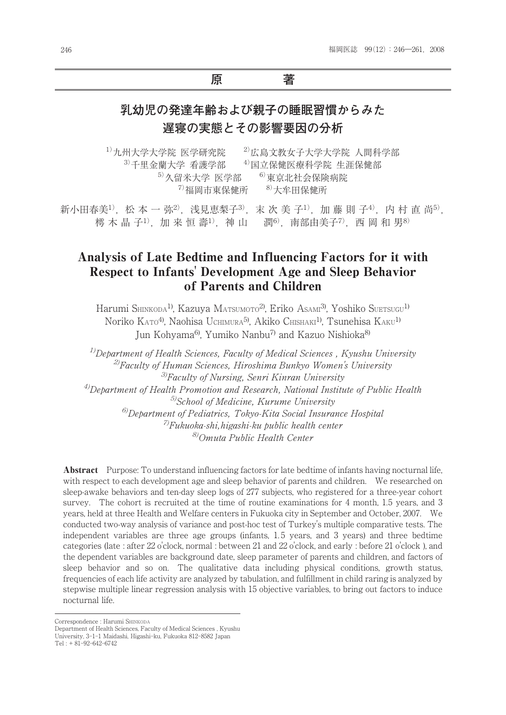## **原 著**

# **乳幼児の発達年齢および親子の睡眠習慣からみた 遅寝の実態とその影響要因の分析**

 $^{1)}$ 九州大学大学院 医学研究院  $^{2)}$ 広島文教女子大学大学院 人間科学部 3)千里金蘭大学 看護学部 千里金蘭大学 看護学部——<sup>4)</sup>国立保健医療科学院 生涯保健部  $^{5)}$ 久留米大学 医学部  $^{-6)}$ 東京北社会保険病院  $^{7)}$ 福岡市東保健所  $^{8)}$ 大牟田保健所

新小田春美<sup>1)</sup>, 松 本 一 弥<sup>2)</sup>, 浅見恵梨子<sup>3)</sup>, 末 次 美 子<sup>1)</sup>, 加 藤 則 子<sup>4)</sup>, 内 村 直 尚<sup>5)</sup>, 樗木晶子<sup>1)</sup>, 加来恒壽<sup>1)</sup>, 神山 潤6<sup>)</sup>  $\mathbb{H}^{60}$ ,南部由美子 $^{7)}$ ,西 岡 和 男 $^{80}$ 

## Analysis of Late Bedtime and Influencing Factors for it with Respect to Infants' Development Age and Sleep Behavior of Parents and Children

Harumi SHINKODA<sup>1)</sup>, Kazuya Matsumoto<sup>2)</sup>, Eriko Asam<sup>3)</sup>, Yoshiko Suetsugu<sup>1)</sup> Noriko KATO<sup>4)</sup>, Naohisa Uchimura<sup>5)</sup>, Akiko Chishaki<sup>1)</sup>, Tsunehisa KAKU<sup>1)</sup> Jun Kohyama<sup>6)</sup>, Yumiko Nanbu<sup>7)</sup> and Kazuo Nishioka<sup>8)</sup>

 $1/D$ epartment of Health Sciences, Faculty of Medical Sciences, Kyushu University  $^{2)}$ Faculty of Human Sciences, Hiroshima Bunkyo Women's University  $3$ Faculty of Nursing, Senri Kinran University  $^{4)}$ Department of Health Promotion and Research, National Institute of Public Health  $5$ School of Medicine, Kurume University  $^{6)}$ Department of Pediatrics, Tokyo-Kita Social Insurance Hospital  $^{7}$ Fukuoka-shi, higashi-ku public health center 8)Omuta Public Health Center

Abstract Purpose: To understand influencing factors for late bedtime of infants having nocturnal life, with respect to each development age and sleep behavior of parents and children. We researched on sleep-awake behaviors and ten-day sleep logs of 277 subjects, who registered for a three-year cohort survey. The cohort is recruited at the time of routine examinations for 4 month, 1.5 years, and 3 years, held at three Health and Welfare centers in Fukuoka city in September and October, 2007. We conducted two-way analysis of variance and post-hoc test of Turkey's multiple comparative tests. The independent variables are three age groups (infants, 1. 5 years, and 3 years) and three bedtime categories (late : after 22 o'clock, normal : between 21 and 22 o'clock, and early : before 21 o'clock ), and the dependent variables are background date, sleep parameter of parents and children, and factors of sleep behavior and so on. The qualitative data including physical conditions, growth status, frequencies of each life activity are analyzed by tabulation, and fulfillment in child raring is analyzed by stepwise multiple linear regression analysis with 15 objective variables, to bring out factors to induce nocturnal life.

Correspondence : Harumi SHINKODA

Department of Health Sciences, Faculty of Medical Sciences , Kyushu University, 3-1-1 Maidashi, Higashi-ku, Fukuoka 812-8582 Japan Tel : + 81-92-642-6742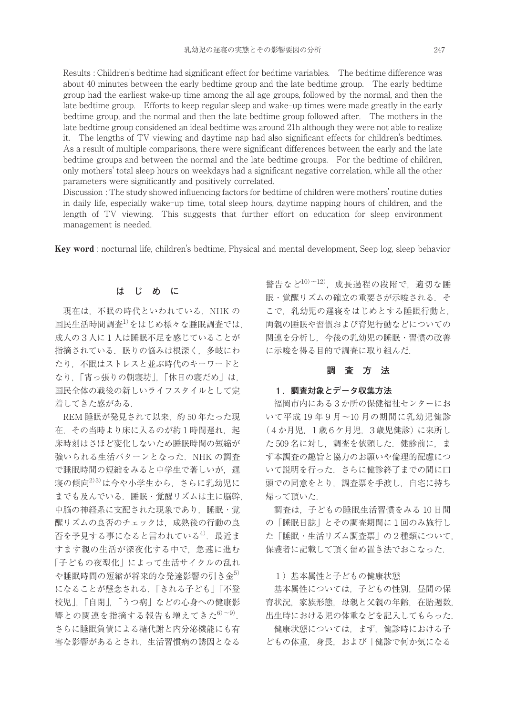Results : Children's bedtime had significant effect for bedtime variables. The bedtime difference was about 40 minutes between the early bedtime group and the late bedtime group. The early bedtime group had the earliest wake-up time among the all age groups, followed by the normal, and then the late bedtime group. Efforts to keep regular sleep and wake-up times were made greatly in the early bedtime group, and the normal and then the late bedtime group followed after. The mothers in the late bedtime group considened an ideal bedtime was around 21h although they were not able to realize it. The lengths of TV viewing and daytime nap had also significant effects for children's bedtimes. As a result of multiple comparisons, there were significant differences between the early and the late bedtime groups and between the normal and the late bedtime groups. For the bedtime of children, only mothers' total sleep hours on weekdays had a significant negative correlation, while all the other parameters were significantly and positively correlated.

Discussion : The study showed influencing factors for bedtime of children were mothers' routine duties in daily life, especially wake-up time, total sleep hours, daytime napping hours of children, and the length of TV viewing. This suggests that further effort on education for sleep environment management is needed.

Keyword : nocturnal life, children's bedtime, Physical and mental development, Seep log, sleep behavior

#### **はじめに**

現在は、不眠の時代といわれている. NHK の 国民生活時間調査<sup>1)</sup>をはじめ様々な睡眠調査では, 成人の3人に1人は睡眠不足を感じていることが 指摘されている. 眠りの悩みは根深く、多岐にわ たり,不眠はストレスと並ぶ時代のキーワードと なり,「宵っ張りの朝寝坊」,「休日の寝だめ」は, 国民全体の戦後の新しいライフスタイルとして定 着してきた感がある.

REM 睡眠が発見されて以来,約 50 年たった現 在、その当時より床に入るのが約1時間遅れ、起 床時刻はさほど変化しないため睡眠時間の短縮が 強いられる生活パターンとなった. NHK の調査 で睡眠時間の短縮をみると中学生で著しいが、遅 寝の傾向2)3) は今や小学生から,さらに乳幼児に までも及んでいる. 睡眠・覚醒リズムは主に脳幹, 中脳の神経系に支配された現象であり、睡眠・覚 醒リズムの良否のチェックは,成熟後の行動の良 否を予見する事になると言われている<sup>4)</sup>. 最近ま すます親の生活が深夜化する中で,急速に進む 「子どもの夜型化」によって生活サイクルの乱れ や睡眠時間の短縮が将来的な発達影響の引き金5) になることが懸念される.「きれる子ども」「不登 校児」,「自閉」,「うつ病」などの心身への健康影 響との関連を指摘する報告も増えてきた<sup>6)~9)</sup>. さらに睡眠負債による糖代謝と内分泌機能にも有 害な影響があるとされ,生活習慣病の誘因となる

警告など $10)$  $\sim$ 12), 成長過程の段階で、適切な睡 眠・覚醒リズムの確立の重要さが示唆される. そ こで、乳幼児の遅寝をはじめとする睡眠行動と, 両親の睡眠や習慣および育児行動などについての 関連を分析し,今後の乳幼児の睡眠・習慣の改善 に示唆を得る目的で調査に取り組んだ.

## **調査方法**

#### **1.調査対象とデータ収集方法**

福岡市内にある 3か所の保健福祉センターにお いて平成 19 年9月〜10 月の期間に乳幼児健診 (4か月児,1歳6ケ月児,3歳児健診)に来所し た 509 名に対し、調査を依頼した. 健診前に、ま ず本調査の趣旨と協力のお願いや倫理的配慮につ いて説明を行った.さらに健診終了までの間に口 頭での同意をとり,調査票を手渡し,自宅に持ち 帰って頂いた.

調査は,子どもの睡眠生活習慣をみる 10 日間 の「睡眠日誌」とその調査期間に1回のみ施行し た「睡眠・生活リズム調査票」の2種類について, 保護者に記載して頂く留め置き法でおこなった.

#### 1)基本属性と子どもの健康状態

基本属性については、子どもの性別、昼間の保 育状況,家族形態,母親と父親の年齢,在胎週数, 出生時における児の体重などを記入してもらった.

健康状態については,まず,健診時における子 どもの体重,身長,および「健診で何か気になる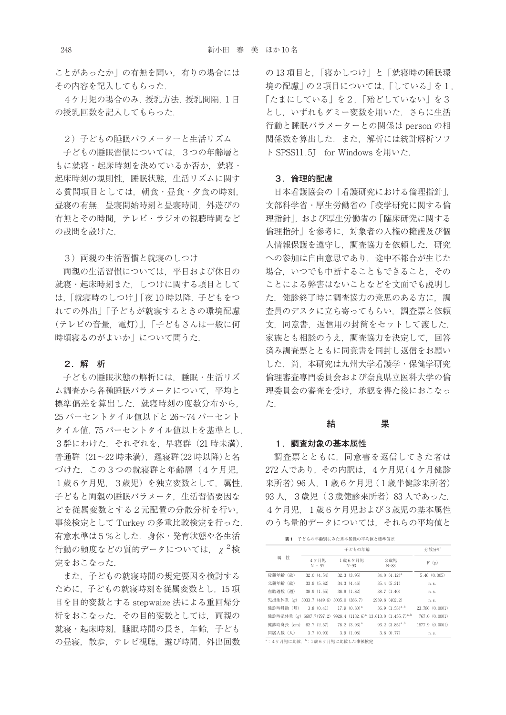ことがあったか | の有無を問い、有りの場合には その内容を記入してもらった.

4ケ月児の場合のみ,授乳方法,授乳間隔,1 日 の授乳回数を記入してもらった.

2) 子どもの睡眠パラメーターと生活リズム

子どもの睡眠習慣については,3つの年齢層と もに就寝・起床時刻を決めているか否か、就寝・ 起床時刻の規則性,睡眠状態,生活リズムに関す る質問項目としては、朝食・昼食・夕食の時刻, 昼寝の有無,昼寝開始時刻と昼寝時間,外遊びの 有無とその時間,テレビ・ラジオの視聴時間など の設問を設けた.

3)両親の生活習慣と就寝のしつけ

両親の生活習慣については,平日および休日の 就寝・起床時刻また,しつけに関する項目として は,「就寝時のしつけ」「夜 10 時以降,子どもをつ れての外出」「子どもが就寝するときの環境配慮 (テレビの音量,電灯)」,「子どもさんは一般に何 時頃寝るのがよいか」について問うた.

#### **2.解 析**

子どもの睡眠状態の解析には、睡眠・生活リズ ム調査から各種睡眠パラメータについて,平均と 標準偏差を算出した. 就寝時刻の度数分布から, 25 パーセントタイル値以下と 26〜74 パーセント タイル値,75 パーセントタイル値以上を基準とし, 3群にわけた.それぞれを,早寝群(21 時未満), 普通群(21~22 時未満), 遅寝群(22 時以降)と名 づけた.この3つの就寝群と年齢層(4ケ月児, 1歳6ケ月児,3歳児)を独立変数として,属性, 子どもと両親の睡眠パラメータ,生活習慣要因な どを従属変数とする2元配置の分散分析を行い, 事後検定として Turkey の多重比較検定を行った. 有意水準は5%とした.身体・発育状態や各生活 行動の頻度などの質的データについては、 $\chi^2$ 検 定をおこなった.

また,子どもの就寝時間の規定要因を検討する ために,子どもの就寝時刻を従属変数とし,15 項 目を目的変数とする stepwaize 法による重回帰分 析をおこなった.その目的変数としては,両親の 就寝・起床時刻,睡眠時間の長さ,年齢,子ども の昼寝, 散歩, テレビ視聴, 遊び時間, 外出回数 の 13 項目と,「寝かしつけ」と「就寝時の睡眠環 境の配慮」の2項目については,「している」を1, 「たまにしている」を2,「殆どしていない」を3 とし,いずれもダミー変数を用いた.さらに生活 行動と睡眠パラメーターとの関係は person の相 関係数を算出した.また,解析には統計解析ソフ ト SPSS11.5J for Windows を用いた.

#### **3.倫理的配慮**

日本看護協会の「看護研究における倫理指針」, 文部科学省・厚生労働省の「疫学研究に関する倫 理指針」,および厚生労働省の「臨床研究に関する 倫理指針」を参考に,対象者の人権の擁護及び個 人情報保護を遵守し,調査協力を依頼した.研究 への参加は自由意思であり、途中不都合が生じた 場合,いつでも中断することもできること,その ことによる弊害はないことなどを文面でも説明し た.健診終了時に調査協力の意思のある方に,調 査員のデスクに立ち寄ってもらい,調査票と依頼 文,同意書,返信用の封筒をセットして渡した. 家族とも相談のうえ、調査協力を決定して、回答 済み調査票とともに同意書を同封し返信をお願い した.尚,本研究は九州大学看護学・保健学研究 倫理審査専門委員会および奈良県立医科大学の倫 理委員会の審査を受け,承認を得た後におこなっ た.

#### **結 果**

#### **1.調査対象の基本属性**

調査票とともに,同意書を返信してきた者は 272 人であり,その内訳は,4ケ月児(4ケ月健診 来所者)96 人,1歳6ケ月児(1歳半健診来所者) 93 人, 3歳児 (3歳健診来所者) 83 人であった. 4ケ月児,1歳6ケ月児および3歳児の基本属性 のうち量的データについては,それらの平均値と

**表1** 子どもの年齢別にみた基本属性の平均値と標準偏差

|                                                 |                  | 子どもの年齢                                |                                                                                         |                 |  |  |
|-------------------------------------------------|------------------|---------------------------------------|-----------------------------------------------------------------------------------------|-----------------|--|--|
| 性<br>属                                          | 4ケ月児<br>$N = 97$ | 1歳6ケ月児<br>$N=93$                      | 3歳児<br>$N=83$                                                                           | F(p)            |  |  |
| 母親年齢 (歳)                                        | 32.0(4.54)       | 32.3(3.95)                            | $34.0 (4.12)^a$                                                                         | 5.46(0.005)     |  |  |
| 父親年齢 (歳)                                        | 33.9(5.82)       | 34.3(4.46)                            | 35.4(5.31)                                                                              | n.s.            |  |  |
| 在胎週数 (週)                                        | 38.9(1.55)       | 38.9(1.82)                            | 38.7(1.40)                                                                              | n.s.            |  |  |
| 児出生体重 (g)                                       |                  | $3033.7$ $(449.6)$ $3005.0$ $(386.7)$ | 2939.8 (402.2)                                                                          | n.s.            |  |  |
| 健診時月齢 (月)                                       |                  | $3.8(0.41)$ 17.9 $(0.80)^a$           | $36.9 (1.58)^{a,b}$                                                                     | 23.786 (0.0001) |  |  |
|                                                 |                  |                                       | 健診時児体重 (g) 6607.7(797.2) 9928.4 (1132.6) <sup>a</sup> 13.613.0 (1.455.7) <sup>a,b</sup> | 767.0 (0.0001)  |  |  |
| 健診時身長 (cm) 62.7 (2.57) 78.2 (3.93) <sup>a</sup> |                  |                                       | $93.2$ $(3.85)^{a,b}$                                                                   | 1577.9 (0.0001) |  |  |
| 同居人数 (人) 3.7 (0.90) 3.9 (1.08)                  |                  |                                       | 3.8(0.77)                                                                               | n.s.            |  |  |

a: 4ケ月児に比較、b:1歳6ケ月児に比較した事後検定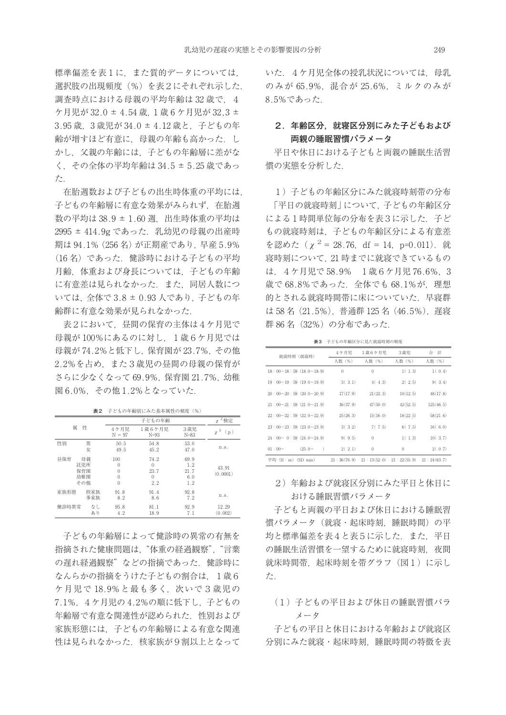標準偏差を表1に,また質的データについては, 選択肢の出現頻度(%)を表2にそれぞれ示した. 調査時点における母親の平均年齢は 32歳で、4 ケ月児が 32.0 ± 4.54 歳,1 歳 6 ケ月児が 32,3 ± 3.95 歳,3 歳児が 34.0 ± 4.12 歳と,子どもの年 齢が増すほど有意に,母親の年齢も高かった.し かし,父親の年齢には,子どもの年齢層に差がな く,その全体の平均年齢は 34.5 ± 5.25 歳であっ た.

在胎週数および子どもの出生時体重の平均には, 子どもの年齢層に有意な効果がみられず、在胎调 数の平均は 38.9 ± 1.60 週, 出生時体重の平均は 2995 ± 414.9g であった. 乳幼児の母親の出産時 期は 94.1%(256 名)が正期産であり,早産 5.9% (16 名)であった.健診時における子どもの平均 月齢,体重および身長については,子どもの年齢 に有意差は見られなかった.また,同居人数につ いては,全体で 3.8 ± 0.93 人であり,子どもの年 齢群に有意な効果が見られなかった.

表2において、昼間の保育の主体は4ケ月児で 母親が 100%にあるのに対し,1歳6ケ月児では 母親が 74.2%と低下し,保育園が 23.7%,その他 2.2%を占め,また3歳児の昼間の母親の保育が さらに少なくなって 69.9%,保育園 21.7%,幼稚 園 6.0%,その他 1.2%となっていた.

|       |                                |                                                        | 子どもの年齢                                      |                                   | $2$ 検定                              |
|-------|--------------------------------|--------------------------------------------------------|---------------------------------------------|-----------------------------------|-------------------------------------|
| 属     | 性                              | 4ケ月児<br>$N = 97$                                       | 1歳6ケ月児<br>$N=93$                            | 3歳児<br>$N = 83$                   | $\overline{\mathbf{2}}$<br>X<br>(p) |
| 性別    | 男<br>女                         | 50.5<br>49.5                                           | 54.8<br>45.2                                | 53.0<br>47.0                      | n.s.                                |
| 昼保育   | 母親<br>託児所<br>保育園<br>幼稚園<br>その他 | 100<br>0<br>$\mathbf{0}$<br>$\theta$<br>$\overline{0}$ | 74.2<br>$\Omega$<br>23.7<br>$\theta$<br>2.2 | 69.9<br>1.2<br>21.7<br>6.0<br>1.2 | 43.91<br>(0.0001)                   |
| 家族形態  | 核家族<br>多家族                     | 91.8<br>8.2                                            | 91.4<br>8.6                                 | 92.8<br>7.2                       | n.s.                                |
| 健診時異常 | なし<br>あり                       | 95.8<br>4.2                                            | 81.1<br>18.9                                | 92.9<br>7.1                       | 12.29<br>(0.002)                    |

**表2** 子どもの年齢別にみた基本属性の頻度(%)

子どもの年齢層によって健診時の異常の有無を 指摘された健康問題は、"体重の経過観察". "言葉 の遅れ経過観察"などの指摘であった. 健診時に なんらかの指摘をうけた子どもの割合は、1歳6 ケ月児で 18.9%と最も多く,次いで3歳児の 7.1%,4ケ月児の 4.2%の順に低下し,子どもの 年齢層で有意な関連性が認められた. 性別および 家族形態には,子どもの年齢層による有意な関連 性は見られなかった. 核家族が9割以上となって

いた. 4ケ月児全体の授乳状況については、母乳 のみが 65.9%,混合が 25.6%,ミルクのみが 8.5%であった.

## **2.年齢区分,就寝区分別にみた子どもおよび 両親の睡眠習慣パラメータ**

平日や休日における子どもと両親の睡眠生活習 慣の実態を分析した.

1)子どもの年齢区分にみた就寝時刻帯の分布 「平日の就寝時刻」について,子どもの年齢区分 による1時間単位毎の分布を表3に示した. 子ど もの就寝時刻は,子どもの年齢区分による有意差 を認めた ( $\chi^2 = 28.76$ , df = 14, p=0.011). 就 寝時刻について,21 時までに就寝できているもの は,4ケ月児で 58.9% 1歳6ケ月児 76.6%,3 歳で 68.8%であった. 全体でも 68.1%が、理想 的とされる就寝時間帯に床についていた. 早寝群 は 58 名(21.5%),普通群 125 名(46.5%),遅寝 群 86 名 (32%) の分布であった.

**表3** 子どもの年齢区分に見た就寝時刻の頻度

| 就寝時刻 (就寝時)                                       | 4 ケ月児    | 1歳6ケ月児                                                  | 3歳児          | 合計        |
|--------------------------------------------------|----------|---------------------------------------------------------|--------------|-----------|
|                                                  | 人数 (%)   | 人数 (%)                                                  | 人数 (%)       | 人数 (%)    |
| $18:00 \rightarrow 18:59(18.0 \rightarrow 18.9)$ | $\Omega$ | $\Omega$                                                | 1(1.3)       | 1(0.4)    |
| $19:00~19:59$ (19.0~19.9)                        | 3(3.1)   | 4(4.3)                                                  | 2(2.5)       | 9(3.4)    |
| 20:00~20:59(20.0~20.9)                           | 17(17.9) | 21(22.3)                                                | 10(12.5)     | 48(17.8)  |
| $21:00 \sim 21:59(21.0 \sim 21.9)$               | 36(37.9) | 47(50.0)                                                | 42(52.5)     | 125(46.5) |
| $22:00 \rightarrow 22:59(22.0 \rightarrow 22.9)$ | 25(26.3) | 15(16.0)                                                | 18(22.5)     | 58(21.6)  |
| $23:00 \rightarrow 23:59(23.0 \rightarrow 23.9)$ | 3(3.2)   | 7(7.5)                                                  | 6(7.5)       | 16(6.0)   |
| $24:00 \sim 0:59(24.0 \sim 24.9)$                | 9(9.5)   | $\Omega$                                                | 1(1.3)       | 10(3.7)   |
| $(25.0 - )$<br>$01:00-$                          | 2(2.1)   | $\Omega$                                                | $\mathbf{0}$ | 2(0.7)    |
| 平均(H:m)(SD min)                                  |          | $21:36(76.9)$ $21:13(52.0)$ $21:22(55.9)$ $21:24(63.7)$ |              |           |

## 2)年齢および就寝区分別にみた平日と休日に おける睡眠習慣パラメータ

子どもと両親の平日および休日における睡眠習 慣パラメータ(就寝・起床時刻,睡眠時間)の平 均と標準偏差を表4と表5に示した. また. 平日 の睡眠生活習慣を一望するために就寝時刻、夜間 就床時間帯、起床時刻を帯グラフ(図1)に示し た.

(1)子どもの平日および休日の睡眠習慣パラ メータ

子どもの平日と休日における年齢および就寝区 分別にみた就寝・起床時刻,睡眠時間の特徴を表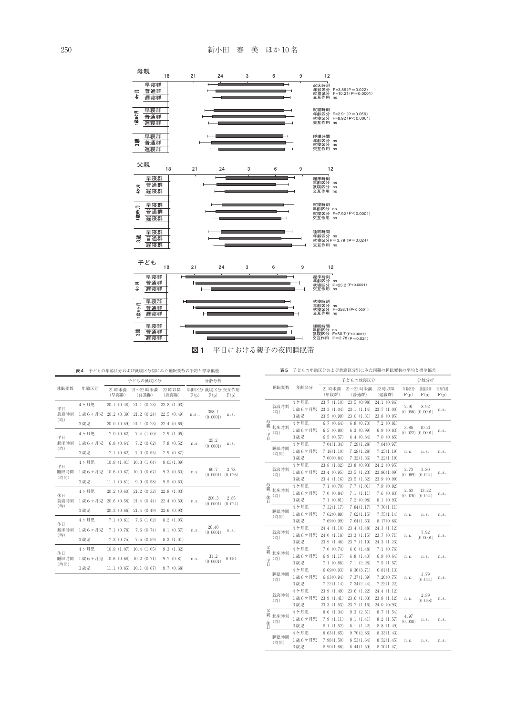

**表4** 子どもの年齢区分および就寝区分別にみた睡眠変数の平均と標準偏差

|                    |        |                 | 子どもの就寝区分           |                 |          | 分散分析                   |                 |
|--------------------|--------|-----------------|--------------------|-----------------|----------|------------------------|-----------------|
| 睡眠変数               | 年齢区分   | 21 時未満<br>(早寝群) | 21~22 時未満<br>(普通群) | 22 時以降<br>(遅寝群) | F(p)     | 年齢区分 就寝区分 交互作用<br>F(p) | F(p)            |
| 平日                 | 4ヶ月児   | 20.1(0.48)      | 21.1(0.23)         | 22.8(1.03)      |          |                        |                 |
| 就寝時刻               | 1歳6ヶ月児 | 20.2(0.39)      | 21.2(0.24)         | 22.5(0.49)      | $n.S.$ . | 358.1<br>(0.0001)      | n.s.            |
| (時)                | 3歳児    | 20.0(0.59)      | 21.1(0.23)         | 22.4(0.66)      |          |                        |                 |
| 平日                 | 4ヶ月児   | 7.0(0.82)       | 7.4(1.00)          | 7.9(1.06)       |          |                        |                 |
| 起床時刻               | 1歳6ヶ月児 | 6.8(0.64)       | 7.2(0.62)          | 7.8(0.52)       | n.s.     | 25.2<br>(0.0001)       | n.s.            |
| (時)                | 3歳児    | 7.1(0.62)       | 7.0(0.55)          | 7.9(0.87)       |          |                        |                 |
| 平日<br>睡眠時間         | 4ヶ月児   | 10.9(1.01)      | 10.3(1.04)         | 9.03(1.09)      |          |                        |                 |
|                    | 1歳6ヶ月児 | 10.6(0.67)      | 10.0 (0.67)        | 9.3(0.60)       | n.s.     | 60.7<br>(0.0001)       | 2.78<br>(0.026) |
| (時間)               | 3歳児    | 11.1(0.81)      | 9.9(0.58)          | 9.5(0.60)       |          |                        |                 |
| 休日                 | 4ヶ月児   | 20.2(0.60)      | 21.2(0.32)         | 22.8(1.03)      |          |                        |                 |
| 就寝時刻               | 1歳6ヶ月児 | 20.6(0.58)      | 21.4(0.44)         | 22.4(0.59)      | n.s.     | 200.3<br>(0.0001)      | 2.85<br>(0.024) |
| (時)                | 3歳児    | 20.3(0.66)      | 21.4(0.49)         | 22.6(0.93)      |          |                        |                 |
| 休日                 | 4ヶ月児   | 7.1(0.81)       | 7.6(1.02)          | 8.2(1.05)       |          |                        |                 |
| 起床時刻               | 1歳6ヶ月児 | 7.1(0.78)       | 7.6(0.74)          | 8.1(0.57)       | n.s.     | 26 40<br>(0.0001)      | n.s.            |
| (時)                | 3歳児    | 7.3(0.75)       | 7.5(0.59)          | 8.3(1.01)       |          |                        |                 |
| 休日<br>睡眠時間<br>(時間) | 4ヶ月児   | 10.9(1.07)      | 10.4(1.05)         | 9.3(1.32)       |          |                        |                 |
|                    | 1歳6ヶ月児 | 10.6(0.68)      | 10.2(0.71)         | 9.7(0.8)        | n.s.     | 31.2<br>(0.0001)       | 0.054           |
|                    | 3歳児    | 11.1(0.85)      | 10.1(0.67)         | 9.7(0.68)       |          |                        |                 |

|                  |                          |                        | 子どもの就寝区分                                    |                                           |                                           |                 | 分散分析                          |              |  |
|------------------|--------------------------|------------------------|---------------------------------------------|-------------------------------------------|-------------------------------------------|-----------------|-------------------------------|--------------|--|
|                  | 睡眠変数                     | 年齢区分                   | 21 時未満<br>(早寝群)                             | 21~22 時未満<br>(普通群)                        | 22 時以降<br>(遅寝群)                           | 年齢区分<br>F(p)    | 就寝区分<br>F(p)                  | 交互作用<br>F(p) |  |
|                  | 就寝時刻<br>(時)              | 4ケ月児<br>1歳6ケ月児<br>3歳児  | 23.7(1.10)<br>23.3(1.04)<br>23.5 (0.99)     | 23.5 (0/98)<br>23.1(1.14)<br>23.0(1.31)   | 24.1 (0.96)<br>23.7(1.00)<br>23.8(0.95)   | 2.91            | 8.92<br>$(0.056)$ $(0.0001)$  | n.s.         |  |
| 母<br>親<br>н      | 起床時刻<br>平(時)             | 4ケ月児<br>1歳6ケ月児<br>3歳児  | 6.7(0.64)<br>6.5(0.80)<br>6.5(0.57)         | 6.8(0.70)<br>6.3(0.99)<br>6.4(0.84)       | 7.2(0.81)<br>6.9(0.83)<br>7.0(0.85)       | 3.86            | 10.21<br>$(0.022)$ $(0.0001)$ | n.s.         |  |
|                  | 睡眠時間<br>(時間)             | 4ケ月児<br>1歳6ケ月児<br>3歳児  | 7.04(1.34)<br>7.18(1.10)<br>7.00(0.84)      | 7.29(1.28)<br>7.28(1.28)<br>7.32(1.36)    | 7.04(0.97)<br>7.25(1.19)<br>7.22(1.19)    | n.s.            | n.s.                          | n.s.         |  |
|                  | 就寝時刻<br>(時)              | 4ケ月児<br>1歳6ケ月児<br>3 歳児 | 23.8(1.02)<br>23.4 (0.95)<br>23.4 (1.16)    | 23.8 (0.93)<br>23.5 (1.23)<br>23.5 (1.32) | 24.2 (0.95)<br>23.86(1.09)<br>23.9 (0.99) | 2.70            | 3.80<br>$(0.069)$ $(0.024)$   | n.s.         |  |
| 母<br>親<br>Η      | 起床時刻<br>休 <sup>(時)</sup> | 4ケ月児<br>1歳6ケ月児<br>3歳児  | 7.1(0.70)<br>7.0 (0.84)<br>7.1(0.81)        | 7.7(1.01)<br>7.1(1.11)<br>7.2(0.98)       | 7.9(0.92)<br>7.6(0.83)<br>8.1 (0.93)      | 2.60            | 13.22<br>$(0.076)$ $(0.024)$  | n.s.         |  |
|                  | 睡眠時間<br>(時間)             | 4ケ月児<br>1歳6ケ月児<br>3歳児  | 7.32(1.17)<br>7.62(0.89)<br>7.69(0.99)      | 7.84(1.17)<br>7.62(1.15)<br>7.64(1.53)    | 7.70(1.11)<br>7.75(1.14)<br>8.17(0.86)    | n.s.            | n.s.                          | n.s.         |  |
|                  | 就寝時刻<br>(時)              | 4ケ月児<br>1歳6ケ月児<br>3歳児  | 24.4 $(1.10)$<br>24.0 (1.18)<br>23.9 (1.46) | 23.4 (1.48)<br>23.3 (1.15)<br>23.7 (1.19) | 24.3 (1.12)<br>23.7 (0.71)<br>24.3 (1.23) | n.s.            | 7.92<br>(0.0001)              | n.s.         |  |
| 父親<br>Η.         | 起床時刻<br>平 (時)            | 4ケ月児<br>1歳6ケ月児<br>3歳児  | 7.0 (0.74)<br>6.9(1.17)<br>7.1(0.88)        | 6.6(1.48)<br>6.8(1.40)<br>7.1(2.28)       | 7.1(0.76)<br>6.9(0.64)<br>7.5(1.57)       | n.s.            | n.s.                          | n.s.         |  |
|                  | 睡眠時間<br>(時)              | 4ケ月児<br>1歳6ケ月児<br>3歳児  | 6.69(0.93)<br>6.83(0.94)<br>7.22(1.14)      | 8.36(3.71)<br>7.37(1.39)<br>7.34(2.44)    | 6.81(1.13)<br>7.20(0.75)<br>7.22(1.22)    | n.s.            | 3.79<br>(0.024)               | n.s.         |  |
|                  | 就寝時刻<br>(時)              | 4ケ月児<br>1歳6ケ月児<br>3 歳児 | 23.9(1.49)<br>23.9(1.41)<br>23.3 (1.53)     | 23.6 (1.22)<br>23.6(1.33)<br>23.7 (1.16)  | 24.4 (1.12)<br>23.8 (1.12)<br>24.0 (0/93) | n.s.            | 2.89<br>(0.058)               | n.s.         |  |
| 父<br>親<br>休<br>Η | 起床時刻<br>(時)              | 4ケ月児<br>1歳6ケ月児<br>3歳児  | 8.6(1.34)<br>7.9(1.11)<br>8.1(1.52)         | 9.3(2.51)<br>8.1(1.41)<br>8.1(1.42)       | 8.7(1.54)<br>8.2(1.57)<br>8.8 (1.49)      | 4.97<br>(0.008) | n.s.                          | n.s.         |  |
|                  | 睡眠時間<br>(時間)             | 4ケ月児<br>1歳6ケ月児<br>3 歳児 | 8.63(1.65)<br>7.98(1.50)<br>8.90(1.86)      | 9.70(2.86)<br>8.53(1.64)<br>8.44(1.59)    | 8.33(1.43)<br>8.52(1.45)<br>8.70(1.47)    | n.s.            | n.s.                          | n.s.         |  |

**表5** 子どもの年齢区分および就寝区分別にみた両親の睡眠変数の平均と標準偏差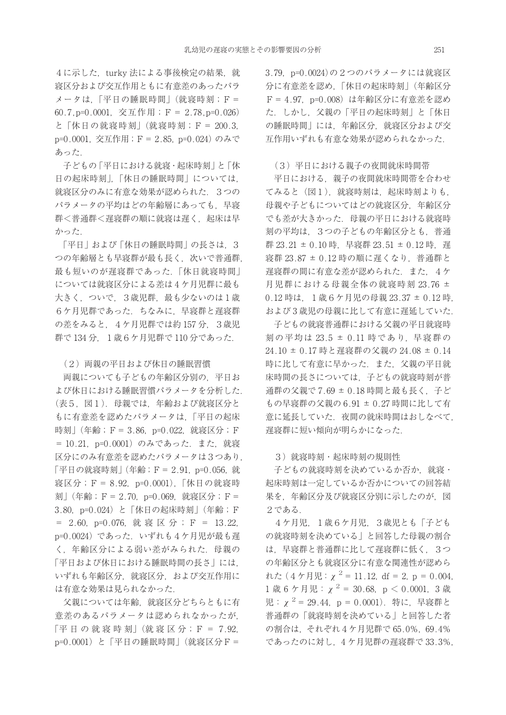4に示した. turky 法による事後検定の結果. 就 寝区分および交互作用ともに有意差のあったパラ メータは,「平日の睡眠時間」(就寝時刻;F= 60.7,p=0.0001,交互作用;F= 2.78,p=0.026) と「休日の就寝時刻」(就寝時刻;F= 200.3, p=0.0001, 交互作用; F = 2.85, p=0.024) のみで あった.

子どもの「平日における就寝・起床時刻」と「休 日の起床時刻」,「休日の睡眠時間」については, 就寝区分のみに有意な効果が認められた. 3つの パラメータの平均はどの年齢層にあっても,早寝 群<普通群<遅寝群の順に就寝は遅く、起床は早 かった.

「平日」および「休日の睡眠時間」の長さは、3 つの年齢層とも早寝群が最も長く,次いで普通群, 最も短いのが遅寝群であった.「休日就寝時間」 については就寝区分による差は 4 ケ月児群に最も 大きく、ついで、3歳児群, 最も少ないのは1歳 6ケ月児群であった.ちなみに,早寝群と遅寝群 の差をみると、4ケ月児群では約 157 分, 3歳児 群で 134 分, 1歳6ケ月児群で 110 分であった.

#### (2)両親の平日および休日の睡眠習慣

両親についても子どもの年齢区分別の,平日お よび休日における睡眠習慣パラメータを分析した. (表5,図1).母親では,年齢および就寝区分と もに有意差を認めたパラメータは,「平日の起床 時刻」(年齢;F= 3.86, p=0.022, 就寝区分;F = 10.21, p=0.0001) のみであった. また, 就寝 区分にのみ有意差を認めたパラメータは3つあり, 「平日の就寝時刻」(年齢;F= 2.91,p=0.056,就 寝区分;F= 8.92,p=0.0001),「休日の就寝時 刻」(年齢;F= 2.70, p=0.069, 就寝区分;F= 3.80. p=0.024) と「休日の起床時刻」(年齢; F = 2.60,p=0.076,就 寝 区 分 ;F = 13.22, p=0.0024)であった.いずれも4ケ月児が最も遅 く,年齢区分による弱い差がみられた.母親の 「平日および休日における睡眠時間の長さ」には, いずれも年齢区分,就寝区分,および交互作用に は有意な効果は見られなかった.

父親については年齢,就寝区分どちらともに有 意差のあるパラメータは認められなかったが, 「平日の 就 寝 時 刻」(就 寝 区 分;F = 7.92, p=0.0001)と「平日の睡眠時間」(就寝区分F= 3.79, p=0.0024)の2つのパラメータには就寝区 分に有意差を認め,「休日の起床時刻」(年齢区分 F= 4.97,p=0.008)は年齢区分に有意差を認め た.しかし,父親の「平日の起床時刻」と「休日 の睡眠時間」には,年齢区分,就寝区分および交 互作用いずれも有意な効果が認められなかった.

#### (3)平日における親子の夜間就床時間帯

平日における,親子の夜間就床時間帯を合わせ てみると(図1),就寝時刻は,起床時刻よりも, 母親や子どもについてはどの就寝区分,年齢区分 でも差が大きかった.母親の平日における就寝時 刻の平均は,3つの子どもの年齢区分とも,普通 群 23.21 ± 0.10 時, 早寝群 23.51 ± 0.12 時, 遅 寝群 23.87 ± 0.12 時の順に遅くなり,普通群と 遅寝群の間に有意な差が認められた. また. 4ケ 月児群における母親全体の就寝時刻 23.76 ± 0.12 時は,1歳6ケ月児の母親 23.37 ± 0.12 時, および 3 歳児の母親に比して有意に遅延していた.

子どもの就寝普通群における父親の平日就寝時 刻の平均は 23.5 ± 0.11 時であり,早寝群の 24.10 ± 0.17 時と遅寝群の父親の 24.08 ± 0.14 時に比して有意に早かった. また、父親の平日就 床時間の長さについては,子どもの就寝時刻が普 通群の父親で 7.69 ± 0.18 時間と最も長く. 子ど もの早寝群の父親の 6.91 ± 0.27 時間に比して有 意に延長していた.夜間の就床時間はおしなべて, 遅寝群に短い傾向が明らかになった.

#### 3)就寝時刻・起床時刻の規則性

子どもの就寝時刻を決めているか否か, 就寝・ 起床時刻は一定しているか否かについての回答結 果を,年齢区分及び就寝区分別に示したのが,図 2である.

4ケ月児,1歳6ケ月児,3歳児とも「子ども の就寝時刻を決めている」と回答した母親の割合 は,早寝群と普通群に比して遅寝群に低く,3つ の年齢区分とも就寝区分に有意な関連性が認めら れた(4ケ月児:χ2= 11.12,df = 2,p = 0.004, 1 歳 6 ケ月児:  $\chi$ <sup>2</sup> = 30.68, p < 0.0001, 3 歳 児:  $\chi^2$  = 29.44, p = 0.0001). 特に, 早寝群と 普通群の「就寝時刻を決めている」と回答した者 の割合は,それぞれ4ケ月児群で 65.0%,69.4% であったのに対し,4 ケ月児群の遅寝群で33.3%,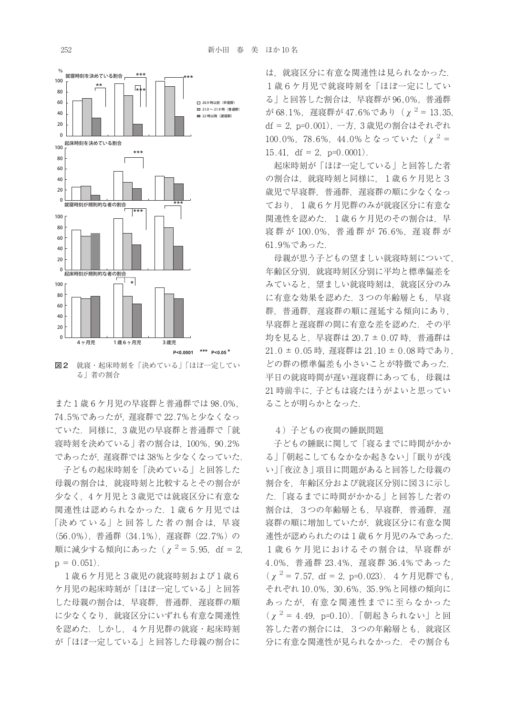

**図2** 就寝・起床時刻を「決めている」「ほぼ一定してい る」者の割合

また 1 歳 6 ケ月児の早寝群と普通群では 98.0%, 74.5%であったが,遅寝群で 22.7%と少なくなっ ていた.同様に,3 歳児の早寝群と普通群で「就 寝時刻を決めている」者の割合は,100%,90.2% であったが,遅寝群では 38%と少なくなっていた.

子どもの起床時刻を「決めている」と回答した 母親の割合は,就寝時刻と比較するとその割合が 少なく,4 ケ月児と 3 歳児では就寝区分に有意な 関連性は認められなかった.1 歳 6 ケ月児では 「決めている」と回答した者の割合は、早寝 (56.0%),普通群(34.1%),遅寝群(22.7%)の 順に減少する傾向にあった ( $\chi^2$  = 5.95, df = 2,  $p = 0.051$ .

1歳6ケ月児と3歳児の就寝時刻および1歳6 ケ月児の起床時刻が「ほぼ一定している」と回答 した母親の割合は,早寝群,普通群,遅寝群の順 に少なくなり、就寝区分にいずれも有意な関連性 を認めた.しかし,4ケ月児群の就寝・起床時刻 が「ほぼ一定している」と回答した母親の割合に

は、就寝区分に有意な関連性は見られなかった。 1歳6ケ月児で就寝時刻を「ほぼ一定にしてい る」と回答した割合は,早寝群が 96,0%,普通群  $\phi$ <sup>3</sup> 68.1%, 遅寝群が 47.6%であり ( $\chi$ <sup>2</sup> = 13.35, df = 2,p=0.001),一方,3 歳児の割合はそれぞれ 100.0%, 78.6%, 44.0% となっていた ( $\chi^2$  = 15.41, df = 2,  $p=0.0001$ ).

起床時刻が「ほぼ一定している」と回答した者 の割合は、就寝時刻と同様に、1歳6ケ月児と3 歳児で早寝群,普通群,遅寝群の順に少なくなっ ており、1歳6ケ月児群のみが就寝区分に有意な 関連性を認めた. 1歳6ケ月児のその割合は、早 寝群が 100.0%, 普通群が 76.6%, 遅寝群が 61.9%であった.

母親が思う子どもの望ましい就寝時刻について, 年齢区分別,就寝時刻区分別に平均と標準偏差を みていると,望ましい就寝時刻は,就寝区分のみ に有意な効果を認めた. 3つの年齢層とも. 早寝 群,普通群,遅寝群の順に遅延する傾向にあり, 早寝群と遅寝群の間に有意な差を認めた.その平 均を見ると,早寝群は 20.7 ± 0.07 時,普通群は 21.0 ± 0.05 時, 遅寝群は 21.10 ± 0.08 時であり, どの群の標準偏差も小さいことが特徴であった. 平日の就寝時間が遅い遅寝群にあっても、母親は 21 時前半に,子どもは寝たほうがよいと思ってい ることが明らかとなった.

#### 4)子どもの夜間の睡眠問題

子どもの睡眠に関して「寝るまでに時間がかか る」「朝起こしてもなかなか起きない」「眠りが浅 い」「夜泣き」項目に問題があると回答した母親の 割合を,年齢区分および就寝区分別に図3に示し た.「寝るまでに時間がかかる」と回答した者の 割合は,3つの年齢層とも,早寝群,普通群,遅 寝群の順に増加していたが,就寝区分に有意な関 連性が認められたのは1歳6ケ月児のみであった. 1歳6ケ月児におけるその割合は、早寝群が 4.0%,普通群 23.4%,遅寝群 36.4%であった ( $\chi^2$  = 7.57, df = 2, p=0.023). 4ケ月児群でも, それぞれ 10.0%,30.6%,35.9%と同様の傾向に あったが,有意な関連性までに至らなかった  $(\chi^2 = 4.49, p=0.10)$ . 「朝起きられない」と回 答した者の割合には、3つの年齢層とも、就寝区 分に有意な関連性が見られなかった.その割合も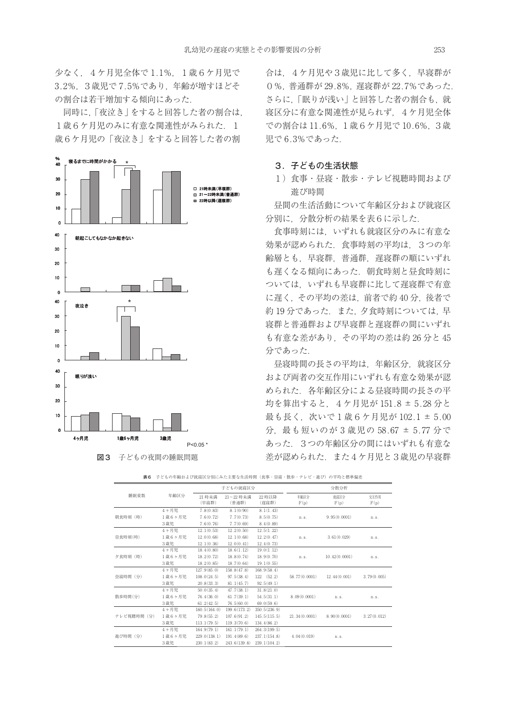少なく,4ケ月児全体で 1.1%,1歳6ケ月児で 3.2%,3歳児で 7.5%であり,年齢が増すほどそ の割合は若干増加する傾向にあった.

同時に,「夜泣き」をすると回答した者の割合は, 1歳6ケ月児のみに有意な関連性がみられた. 1 歳6ケ月児の「夜泣き」をすると回答した者の割





合は,4ケ月児や3歳児に比して多く,早寝群が 0%,普通群が 29.8%,遅寝群が 22.7%であった. さらに、「眠りが浅い」と回答した者の割合も、就 寝区分に有意な関連性が見られず,4ケ月児全体 での割合は 11.6%,1歳6ケ月児で 10.6%,3歳 児で 6.3%であった.

#### **3.子どもの生活状態**

1)食事・昼寝・散歩・テレビ視聴時間および 遊び時間

昼間の生活活動について年齢区分および就寝区 分別に,分散分析の結果を表6に示した.

食事時刻には,いずれも就寝区分のみに有意な 効果が認められた.食事時刻の平均は,3つの年 齢層とも,早寝群,普通群,遅寝群の順にいずれ も遅くなる傾向にあった. 朝食時刻と昼食時刻に ついては,いずれも早寝群に比して遅寝群で有意 に遅く、その平均の差は、前者で約40分、後者で 約19分であった. また、夕食時刻については、早 寝群と普通群および早寝群と遅寝群の間にいずれ も有意な差があり,その平均の差は約 26 分と 45 分であった.

昼寝時間の長さの平均は,年齢区分,就寝区分 および両者の交互作用にいずれも有意な効果が認 められた. 各年齢区分による昼寝時間の長さの平 均を算出すると,4ケ月児が 151.8 ± 5.28 分と 最も長く,次いで1歳6ケ月児が 102.1 ± 5.00 分,最も短いのが 3 歳児の 58.67 ± 5.77 分で あった.3つの年齢区分の間にはいずれも有意な 差が認められた.また4ケ月児と3歳児の早寝群

|            |        |                 | 子どもの就寝区分           |                 | 分散分析             |               |              |
|------------|--------|-----------------|--------------------|-----------------|------------------|---------------|--------------|
| 睡眠変数       | 年齢区分   | 21 時未満<br>(早寝群) | 21~22 時未満<br>(普通群) | 22 時以降<br>(遅寝群) | 年齢区分<br>F(p)     | 就寝区分<br>F(p)  | 交互作用<br>F(p) |
|            | 4ヶ月児   | 7.8(0.83)       | 8.1(0/90)          | 8.1(1.43)       |                  |               |              |
| 朝食時刻 (時)   | 1歳6ヶ月児 | 7.6(0.72)       | 7.7(0.73)          | 8.5(0.75)       | n.s.             | 9.95(0.0001)  | n.s.         |
|            | 3歳児    | 7.6(0.76)       | 7.7(0.69)          | 8.4(0.89)       |                  |               |              |
|            | 4ヶ月児   | 12.1(0.53)      | 12.2(0.50)         | 12.5(1.22)      |                  |               |              |
| 昼食時刻(時)    | 1歳6ヶ月児 | 12.0(0.68)      | 12.1(0.68)         | 12.2(0.47)      | n.s.             | 3.61(0.029)   | n.s.         |
|            | 3歳児    | 12.1(0.36)      | 12.0(0.41)         | 12.4(0.73)      |                  |               |              |
|            | 4ヶ月児   | 18.4(0.80)      | 18.6(1.12)         | 19.0(1.12)      |                  |               |              |
| 夕食時刻 (時)   | 1歳6ヶ月児 | 18.2(0.72)      | 18.8(0.74)         | 18.9(0.70)      | n.s.             | 10.42(0.0001) | n.s.         |
|            | 3歳児    | 18.2(0.85)      | 18.7(0.64)         | 19.1(0.55)      |                  |               |              |
|            | 4ヶ月児   | 127.9(85.0)     | 158.8(47.8)        | 168.9(58.4)     |                  |               |              |
| 昼寝時間 (分)   | 1歳6ヶ月児 | 108.0(24.5)     | 97.5(38.4)         | 122(52.2)       | 58.77 $(0.0001)$ | 12.44(0.001)  | 3.79(0.005)  |
|            | 3歳児    | 20.8(33.3)      | 81.1(45.7)         | 92.5(49.1)      |                  |               |              |
|            | 4ヶ月児   | 50.0(35.4)      | 47.7(38.1)         | 31.8(21.0)      |                  |               |              |
| 散歩時間(分)    | 1歳6ヶ月児 | 76.4(36.0)      | 61.7(39.1)         | 54.5(31.1)      | 8.09(0.0001)     | n.s.          | n.s.         |
|            | 3歳児    | 61.2(42.5)      | 76.5(60.0)         | 69.0(59.6)      |                  |               |              |
|            | 4ヶ月児   | 160.5(164.0)    | 199.6(173.2)       | 350.5(236.9)    |                  |               |              |
| テレビ視聴時間(分) | 1歳6ヶ月児 | 79.8(55.2)      | 107.6(91.2)        | 145.5(115.5)    | 21.34(0.0001)    | 8.90(0.0001)  | 3.27(0.012)  |
|            | 3歳児    | 113.1(79.5)     | 119.3(70.6)        | 134.4(86.2)     |                  |               |              |
|            | 4ヶ月児   | 164.9(79.1)     | 161.1(79.1)        | 264.3(199.5)    |                  |               |              |
| 遊び時間 (分)   | 1歳6ヶ月児 | 229.0(138.1)    | 191.4(89.6)        | 237.1(154.8)    | 4.04(0.019)      | n.s.          |              |
|            | 3歳児    | 230.1(83.2)     | 243.6(139.8)       | 239.1(104.2)    |                  |               |              |

|  | 表6 子どもの年齢および就寝区分別にみた主要な生活時間(食事・昼寝・散歩・テレビ・遊び)の平均と標準偏差 |  |  |  |
|--|------------------------------------------------------|--|--|--|
|--|------------------------------------------------------|--|--|--|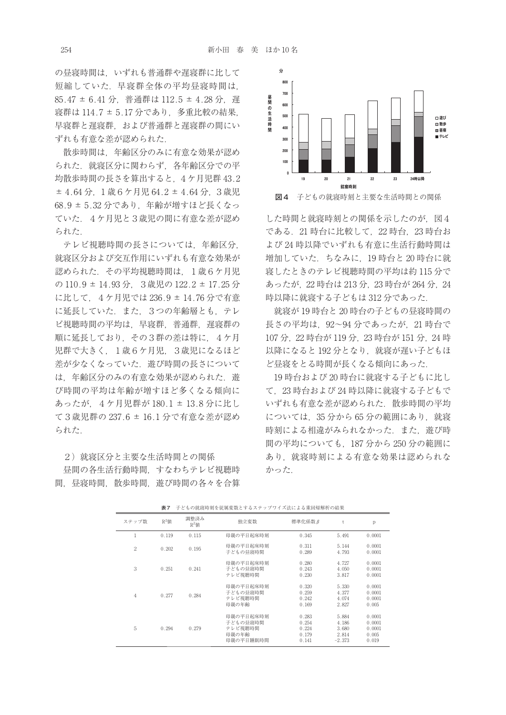の昼寝時間は、いずれも普通群や遅寝群に比して 短縮していた.早寝群全体の平均昼寝時間は, 85.47 ± 6.41 分, 普通群は 112.5 ± 4.28 分, 遅 寝群は 114.7 ± 5.17 分であり,多重比較の結果, 早寝群と遅寝群,および普通群と遅寝群の間にい ずれも有意な差が認められた.

散歩時間は,年齢区分のみに有意な効果が認め られた. 就寝区分に関わらず、各年齢区分での平 均散歩時間の長さを算出すると,4ケ月児群 43.2 ± 4.64 分,1歳6ケ月児 64.2 ± 4.64 分,3歳児 68.9 ± 5.32 分であり、年齢が増すほど長くなっ ていた.4ケ月児と3歳児の間に有意な差が認め られた.

テレビ視聴時間の長さについては,年齢区分, 就寝区分および交互作用にいずれも有意な効果が 認められた.その平均視聴時間は,1歳6ケ月児 の 110.9 ± 14.93分,3歳児の 122.2 ± 17.25 分 に比して,4ケ月児では 236.9 ± 14.76 分で有意 に延長していた.また,3つの年齢層とも,テレ ビ視聴時間の平均は、早寝群,普通群,遅寝群の 順に延長しており、その3群の差は特に、4ケ月 児群で大きく、1歳6ケ月児、3歳児になるほど 差が少なくなっていた. 遊び時間の長さについて は、年齢区分のみの有意な効果が認められた. 遊 び時間の平均は年齢が増すほど多くなる傾向に あったが,4ケ月児群が 180.1 ± 13.8 分に比し て3歳児群の 237.6 ± 16.1 分で有意な差が認め られた.

2) 就寝区分と主要な生活時間との関係

昼間の各生活行動時間,すなわちテレビ視聴時 間,昼寝時間,散歩時間,遊び時間の各々を合算



した時間と就寝時刻との関係を示したのが、図4 である.21 時台に比較して,22 時台,23 時台お よび 24 時以降でいずれも有意に生活行動時間は 増加していた.ちなみに,19 時台と 20 時台に就 寝したときのテレビ視聴時間の平均は約 115 分で あったが,22 時台は 213分,23 時台が 264 分,24 時以降に就寝する子どもは 312 分であった.

就寝が 19 時台と 20 時台の子どもの昼寝時間の 長さの平均は,92〜94 分であったが,21 時台で 107 分,22 時台が 119 分,23 時台が 151 分,24 時 以降になると 192 分となり、就寝が遅い子どもほ ど昼寝をとる時間が長くなる傾向にあった.

19 時台および 20 時台に就寝する子どもに比し て,23 時台および 24 時以降に就寝する子どもで いずれも有意な差が認められた. 散歩時間の平均 については、35 分から 65 分の範囲にあり、就寝 時刻による相違がみられなかった. また、遊び時 間の平均についても,187 分から 250 分の範囲に あり,就寝時刻による有意な効果は認められな かった.

| ステップ数          | $R^2$ 値 | 調整済み<br>$R^2$ 値 | 独立変数                                                   | 標準化係数β                                    | t                                            | p                                            |
|----------------|---------|-----------------|--------------------------------------------------------|-------------------------------------------|----------------------------------------------|----------------------------------------------|
| 1              | 0.119   | 0.115           | 母親の平日起床時刻                                              | 0.345                                     | 5.491                                        | 0.0001                                       |
| $\overline{2}$ | 0.202   | 0.195           | 母親の平日起床時刻<br>子どもの昼寝時間                                  | 0.311<br>0.289                            | 5.144<br>4.793                               | 0.0001<br>0.0001                             |
| 3              | 0.251   | 0.241           | 母親の平日起床時刻<br>子どもの昼寝時間<br>テレビ視聴時間                       | 0.280<br>0.243<br>0.230                   | 4.727<br>4.050<br>3.817                      | 0.0001<br>0.0001<br>0.0001                   |
| $\overline{4}$ | 0.277   | 0.284           | 母親の平日起床時刻<br>子どもの昼寝時間<br>テレビ視聴時間<br>母親の年齢              | 0.320<br>0.259<br>0.242<br>0.169          | 5.330<br>4.377<br>4.074<br>2.827             | 0.0001<br>0.0001<br>0.0001<br>0.005          |
| 5              | 0.294   | 0.279           | 母親の平日起床時刻<br>子どもの昼寝時間<br>テレビ視聴時間<br>母親の年齢<br>母親の平日睡眠時間 | 0.283<br>0.254<br>0.224<br>0.179<br>0.141 | 5.884<br>4.186<br>3.680<br>2.814<br>$-2.373$ | 0.0001<br>0.0001<br>0.0001<br>0.005<br>0.019 |

**表7** 子どもの就寝時刻を従属変数とするステップワイズ法による重回帰解析の結果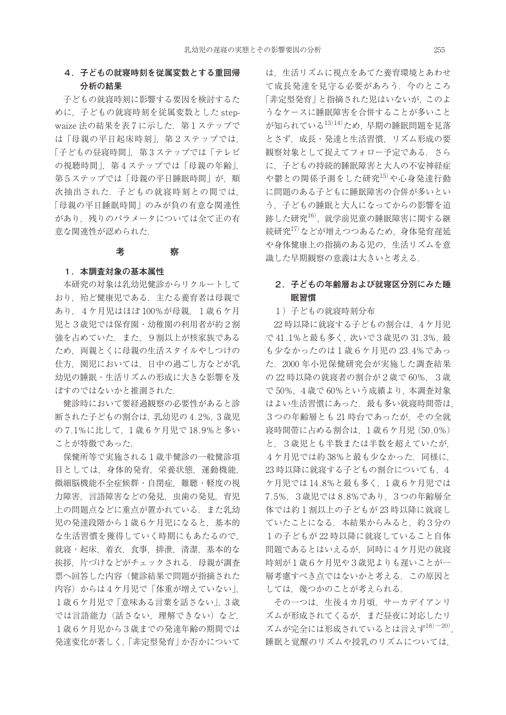## **4.子どもの就寝時刻を従属変数とする重回帰 分析の結果**

子どもの就寝時刻に影響する要因を検討するた めに,子どもの就寝時刻を従属変数とした stepwaize 法の結果を表7に示した. 第1ステップで は「母親の平日起床時刻」。第2ステップでは 「子どもの昼寝時間」,第3ステップでは「テレビ の視聴時間」,第4ステップでは「母親の年齢」, 第5ステップでは「母親の平日睡眠時間」が, 順 次抽出された. 子どもの就寝時刻との間では. 「母親の平日睡眠時間」のみが負の有意な関連性 があり、残りのパラメータについては全て正の有 意な関連性が認められた.

#### **考** 察

#### **1.本調査対象の基本属性**

本研究の対象は乳幼児健診からリクルートして おり、殆ど健康児である。主たる養育者は母親で あり,4ケ月児はほぼ 100%が母親,1歳6ケ月 児と3歳児では保育園・幼稚園の利用者が約2割 強を占めていた. また. 9割以上が核家族である ため,両親とくに母親の生活スタイルやしつけの 仕方,園児においては,日中の過ごし方などが乳 幼児の睡眠・生活リズムの形成に大きな影響を及 ぼすのではないかと推測された.

健診時において要経過観察の必要性があると診 断された子どもの割合は,乳幼児の 4.2%,3 歳児 の 7.1%に比して,1 歳 6 ケ月児で 18.9%と多い ことが特徴であった.

保健所等で実施される1歳半健診の一般健診項 目としては,身体的発育,栄養状態,運動機能, 微細脳機能不全症候群・自閉症,難聴・軽度の視 力障害,言語障害などの発見,虫歯の発見,育児 上の問題点などに重点が置かれている.また乳幼 児の発達段階から1歳6ケ月児になると,基本的 な生活習慣を獲得していく時期にもあたるので, 就寝・起床,着衣,食事,排泄,清潔,基本的な 挨拶. 片づけなどがチェックされる. 母親が調査 票へ回答した内容(健診結果で問題が指摘された 内容)からは4ケ月児で「体重が増えていない」 1歳6ケ月児で「意味ある言葉を話さない」,3歳 では言語能力(話さない,理解できない)など, 1歳6ケ月児から3歳までの発達年齢の期間では 発達変化が著しく,「非定型発育」か否かについて

は,生活リズムに視点をあてた養育環境とあわせ て成長発達を見守る必要があろう.今のところ 「非定型発育」と指摘された児はいないが、このよ うなケースに睡眠障害を合併することが多いこと が知られている13)14) ため,早期の睡眠問題を見落 とさず,成長・発達と生活習慣,リズム形成の要 観察対象として捉えてフォロー予定である. さら に,子どもの持続的睡眠障害と大人の不安神経症 や鬱との関係予測をした研究<sup>15)</sup>や心身発達行動 に問題のある子どもに睡眠障害の合併が多いとい う,子どもの睡眠と大人になってからの影響を追 跡した研究<sup>16)</sup>, 就学前児童の睡眠障害に関する継 続研究17)などが増えつつあるため,身体発育遅延 や身体健康上の指摘のある児の,生活リズムを意 識した早期観察の意義は大きいと考える.

## **2.子どもの年齢層および就寝区分別にみた睡 眠習慣**

1)子どもの就寝時刻分布

22 時以降に就寝する子どもの割合は,4ケ月児 で 41.1%と最も多く,次いで3歳児の 31.3%,最 も少なかったのは1歳6ケ月児の 23.4%であっ た.2000 年小児保健研究会が実施した調査結果 の 22 時以降の就寝者の割合が2歳で 60%,3歳 で 50%,4歳で 60%という成績より,本調査対象 はよい生活習慣にあった. 最も多い就寝時間帯は, 3つの年齢層とも 21 時台であったが,その全就 寝時間帯に占める割合は,1歳6ケ月児(50.0%) と,3歳児とも半数または半数を超えていたが, 4ケ月児では約 38%と最も少なかった.同様に, 23 時以降に就寝する子どもの割合についても
4 ケ月児では 14.8%と最も多く,1歳6ケ月児では 7.5%,3歳児では 8.8%であり,3つの年齢層全 体では約1割以上の子どもが23時以降に就寝し ていたことになる.本結果からみると,約3分の 1の子どもが 22 時以降に就寝していること自体 問題であるとはいえるが,同時に4ケ月児の就寝 時刻が1歳6ケ月児や3歳児よりも遅いことが一 層考慮すべき点ではないかと考える.この原因と しては,幾つかのことが考えられる.

その一つは,生後4カ月頃,サーカデイアンリ ズムが形成されてくるが,まだ昼夜に対応したリ ズムが完全には形成されているとは言えず18)〜20) , 睡眠と覚醒のリズムや授乳のリズムについては,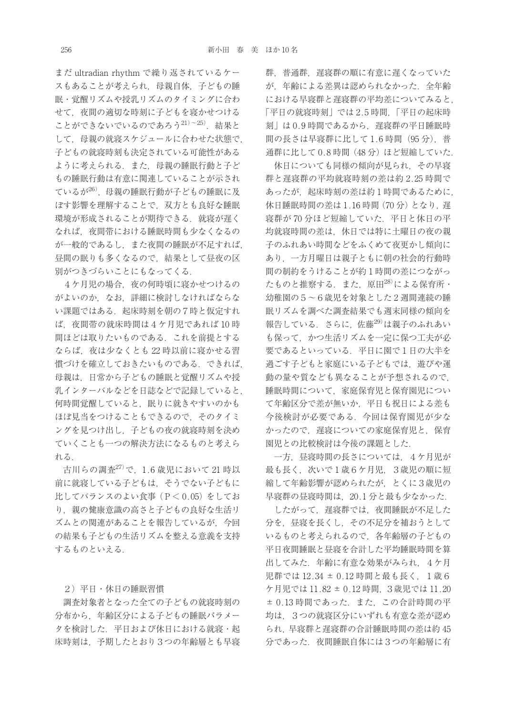まだ ultradian rhythm で繰り返されているケー スもあることが考えられ、母親自体、子どもの睡 眠・覚醒リズムや授乳リズムのタイミングに合わ せて,夜間の適切な時刻に子どもを寝かせつける ことができないでいるのであろう<sup>21)~25)</sup>. 結果と して、母親の就寝スケジュールに合わせた状態で, 子どもの就寝時刻も決定されている可能性がある ように考えられる.また,母親の睡眠行動と子ど もの睡眠行動は有意に関連していることが示され ているが26). 母親の睡眠行動が子どもの睡眠に及 ぼす影響を理解することで,双方とも良好な睡眠 環境が形成されることが期待できる. 就寝が遅く なれば,夜間帯における睡眠時間も少なくなるの が一般的であるし,また夜間の睡眠が不足すれば, 昼間の眠りも多くなるので,結果として昼夜の区 別がつきづらいことにもなってくる.

4ケ月児の場合,夜の何時頃に寝かせつけるの がよいのか,なお,詳細に検討しなければならな い課題ではある.起床時刻を朝の7時と仮定すれ ば,夜間帯の就床時間は4ケ月児であれば 10 時 間ほどは取りたいものである.これを前提とする ならば,夜は少なくとも 22 時以前に寝かせる習 慣づけを確立しておきたいものである.できれば, 母親は,日常から子どもの睡眠と覚醒リズムや授 乳インターバルなどを日誌などで記録していると, 何時間覚醒していると,眠りに就きやすいのかも ほぼ見当をつけることもできるので,そのタイミ ングを見つけ出し,子どもの夜の就寝時刻を決め ていくことも一つの解決方法になるものと考えら れる.

古川らの調査27)で,1.6 歳児において 21 時以 前に就寝している子どもは,そうでない子どもに 比してバランスのよい食事 (P<0.05) をしてお り、親の健康意識の高さと子どもの良好な生活リ ズムとの関連があることを報告しているが,今回 の結果も子どもの生活リズムを整える意義を支持 するものといえる.

2)平日・休日の睡眠習慣

調査対象者となった全ての子どもの就寝時刻の 分布から,年齢区分による子どもの睡眠パラメー タを検討した.平日および休日における就寝・起 床時刻は,予期したとおり3つの年齢層とも早寝

群,普通群,遅寝群の順に有意に遅くなっていた が、年齢による差異は認められなかった. 全年齢 における早寝群と遅寝群の平均差についてみると, 「平日の就寝時刻」では 2.5 時間,「平日の起床時 刻」は 0.9 時間であるから,遅寝群の平日睡眠時 間の長さは早寝群に比して1.6時間(95分). 普 通群に比して0.8時間(48分)ほど短縮していた.

休日についても同様の傾向が見られ,その早寝 群と遅寝群の平均就寝時刻の差は約 2.25 時間で あったが,起床時刻の差は約1時間であるために, 休日睡眠時間の差は1.16時間(70分)となり、遅 寝群が 70 分ほど短縮していた.平日と休日の平 均就寝時間の差は,休日では特に土曜日の夜の親 子のふれあい時間などをふくめて夜更かし傾向に あり,一方月曜日は親子ともに朝の社会的行動時 間の制約をうけることが約1時間の差につながっ たものと推察する. また、原田<sup>28)</sup>による保育所· 幼稚園の5〜6歳児を対象とした 2 週間連続の睡 眠リズムを調べた調査結果でも週末同様の傾向を 報告している. さらに, 佐藤<sup>29)</sup>は親子のふれあい も保って,かつ生活リズムを一定に保つ工夫が必 要であるといっている.平日に園で1日の大半を 過ごす子どもと家庭にいる子どもでは,遊びや運 動の量や質なども異なることが予想されるので. 睡眠時間について,家庭保育児と保育園児につい て年齢区分で差が無いか,平日も祝日による差も 今後検討が必要である.今回は保育園児が少な かったので,遅寝についての家庭保育児と,保育 園児との比較検討は今後の課題とした.

一方,昼寝時間の長さについては,4ケ月児が 最も長く,次いで1歳6ケ月児,3歳児の順に短 縮して年齢影響が認められたが,とくに3歳児の 早寝群の昼寝時間は,20.1 分と最も少なかった.

したがって、遅寝群では、夜間睡眠が不足した 分を,昼寝を長くし,その不足分を補おうとして いるものと考えられるので,各年齢層の子どもの 平日夜間睡眠と昼寝を合計した平均睡眠時間を算 出してみた. 年齢に有意な効果がみられ. 4ケ月 児群では 12.34 ± 0.12 時間と最も長く、1歳6 ケ月児では 11.82 ± 0.12 時間,3歳児では 11.20 ± 0.13 時間であった.また,この合計時間の平 均は,3つの就寝区分にいずれも有意な差が認め られ、早寝群と遅寝群の合計睡眠時間の差は約 45 分であった.夜間睡眠自体には3つの年齢層に有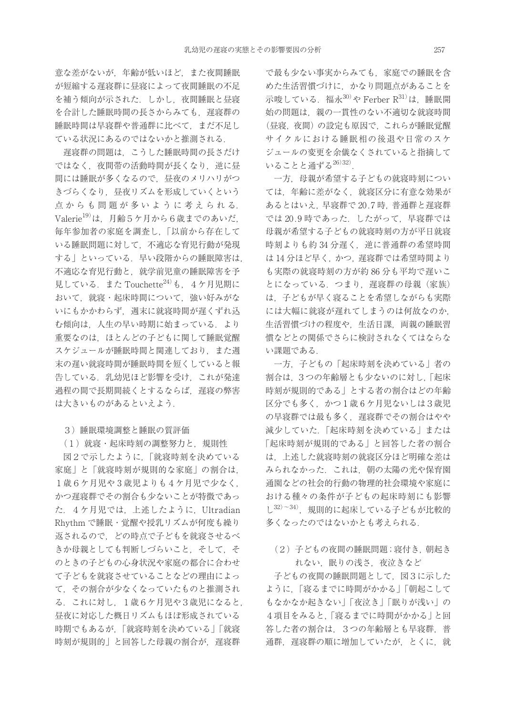意な差がないが,年齢が低いほど,また夜間睡眠 が短縮する遅寝群に昼寝によって夜間睡眠の不足 を補う傾向が示された.しかし,夜間睡眠と昼寝 を合計した睡眠時間の長さからみても、遅寝群の 睡眠時間は早寝群や普通群に比べて,まだ不足し ている状況にあるのではないかと推測される.

遅寝群の問題は,こうした睡眠時間の長さだけ ではなく、夜間帯の活動時間が長くなり、逆に昼 間には睡眠が多くなるので,昼夜のメリハリがつ きづらくなり,昼夜リズムを形成していくという 点からも問題が多いように考えられる. Valerie<sup>19)</sup>は、月齢5ケ月から6歳までのあいだ. 毎年参加者の家庭を調査し,「以前から存在して いる睡眠問題に対して,不適応な育児行動が発現 する」といっている. 早い段階からの睡眠障害は, 不適応な育児行動と,就学前児童の睡眠障害を予 見している. また Touchette<sup>24)</sup>も、4ケ月児期に おいて,就寝・起床時間について,強い好みがな いにもかかわらず,週末に就寝時間が遅くずれ込 む傾向は、人生の早い時期に始まっている. より 重要なのは,ほとんどの子どもに関して睡眠覚醒 スケジュールが睡眠時間と関連しており,また週 末の遅い就寝時間が睡眠時間を短くしていると報 告している.乳幼児ほど影響を受け,これが発達 過程の間で長期間続くとするならば、 遅寝の弊害 は大きいものがあるといえよう.

3)睡眠環境調整と睡眠の質評価

(1)就寝・起床時刻の調整努力と,規則性

図2で示したように,「就寝時刻を決めている 家庭」と「就寝時刻が規則的な家庭」の割合は 1歳6ケ月児や3歳児よりも4ケ月児で少なく, かつ遅寝群でその割合も少ないことが特徴であっ た.4ケ月児では,上述したように,Ultradian Rhythm で睡眠・覚醒や授乳リズムが何度も繰り 返されるので,どの時点で子どもを就寝させるべ きか母親としても判断しづらいこと,そして,そ のときの子どもの心身状況や家庭の都合に合わせ て子どもを就寝させていることなどの理由によっ て,その割合が少なくなっていたものと推測され る.これに対し,1歳6ケ月児や3歳児になると, 昼夜に対応した概日リズムもほぼ形成されている 時期でもあるが,「就寝時刻を決めている」「就寝 時刻が規則的」と回答した母親の割合が、遅寝群

で最も少ない事実からみても,家庭での睡眠を含 めた生活習慣づけに,かなり問題点があることを 示唆している. 福永30)や Ferber R31)は、睡眠開 始の問題は,親の一貫性のない不適切な就寝時間 (昼寝,夜間)の設定も原因で,これらが睡眠覚醒 サイクルにおける睡眠相の後退や日常のスケ ジュールの変更を余儀なくされていると指摘して いることと通ずる26)32) .

一方,母親が希望する子どもの就寝時刻につい ては,年齢に差がなく,就寝区分に有意な効果が あるとはいえ,早寝群で 20.7 時,普通群と遅寝群 では 20.9 時であった.したがって,早寝群では 母親が希望する子どもの就寝時刻の方が平日就寝 時刻よりも約 34 分遅く、逆に普通群の希望時間 は14分ほど早く、かつ、遅寝群では希望時間より も実際の就寝時刻の方が約 86 分も平均で遅いこ とになっている. つまり、遅寝群の母親(家族) は,子どもが早く寝ることを希望しながらも実際 には大幅に就寝が遅れてしまうのは何故なのか, 生活習慣づけの程度や,生活日課,両親の睡眠習 慣などとの関係でさらに検討されなくてはならな い課題である.

一方,子どもの「起床時刻を決めている」者の 割合は,3つの年齢層とも少ないのに対し,「起床 時刻が規則的である」とする者の割合はどの年齢 区分でも多く、かつ1歳6ケ月児ないしは3歳児 の早寝群では最も多く、遅寝群でその割合はやや 減少していた.「起床時刻を決めている」または 「起床時刻が規則的である」と回答した者の割合 は,上述した就寝時刻の就寝区分ほど明確な差は みられなかった.これは,朝の太陽の光や保育園 通園などの社会的行動の物理的社会環境や家庭に おける種々の条件が子どもの起床時刻にも影響  $L^{32)-34}$ ), 規則的に起床している子どもが比較的 多くなったのではないかとも考えられる.

(2) 子どもの夜間の睡眠問題;寝付き,朝起き れない,眠りの浅さ,夜泣きなど

子どもの夜間の睡眠問題として、図3に示した ように,「寝るまでに時間がかかる」「朝起こして もなかなか起きない」「夜泣き」「眠りが浅い」の 4項目をみると,「寝るまでに時間がかかる」と回 答した者の割合は,3つの年齢層とも早寝群,普 通群, 遅寝群の順に増加していたが、とくに、就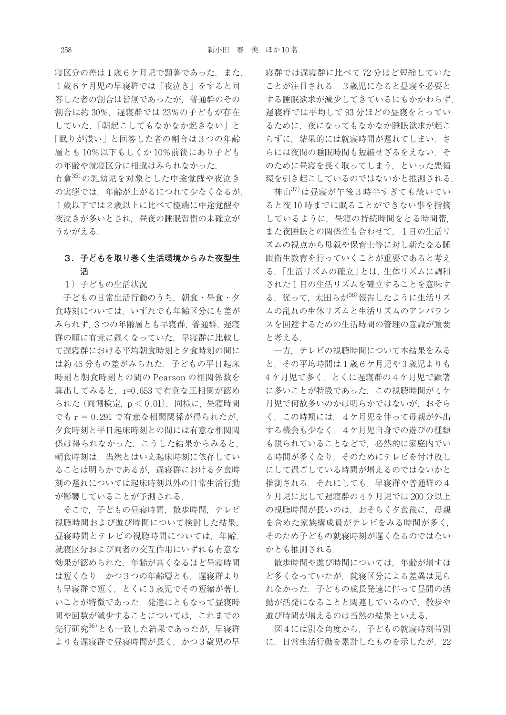寝区分の差は1歳6ケ月児で顕著であった.また, 1歳6ケ月児の早寝群では「夜泣き」をすると回 答した者の割合は皆無であったが,普通群のその 割合は約 30%,遅寝群では 23%の子どもが存在 していた.「朝起こしてもなかなか起きない」と 「眠りが浅い」と回答した者の割合は3つの年齢 層とも 10%以下もしくか 10%前後にあり子ども の年齢や就寝区分に相違はみられなかった.

有倉35) の乳幼児を対象とした中途覚醒や夜泣き の実態では、年齢が上がるにつれて少なくなるが. 1歳以下では2歳以上に比べて極端に中途覚醒や 夜泣きが多いとされ,昼夜の睡眠習慣の未確立が うかがえる.

## **3.子どもを取り巻く生活環境からみた夜型生 活**

### 1)子どもの生活状況

子どもの日常生活行動のうち, 朝食・昼食・夕 食時刻については,いずれでも年齢区分にも差が みられず,3つの年齢層とも早寝群,普通群,遅寝 群の順に有意に遅くなっていた. 早寝群に比較し て遅寝群における平均朝食時刻と夕食時刻の間に は約45分もの差がみられた. 子どもの平日起床 時刻と朝食時刻との間の Pearson の相関係数を 算出してみると. r=0.653 で有意な正相関が認め られた (両側検定, p < 0.01). 同様に, 昼寝時間 でも r = 0.291 で有意な相関関係が得られたが, 夕食時刻と平日起床時刻との間には有意な相関関 係は得られなかった. こうした結果からみると. 朝食時刻は,当然とはいえ起床時刻に依存してい ることは明らかであるが,遅寝群における夕食時 刻の遅れについては起床時刻以外の日常生活行動 が影響していることが予測される.

そこで,子どもの昼寝時間,散歩時間,テレビ 視聴時間および遊び時間について検討した結果, 昼寝時間とテレビの視聴時間については,年齢, 就寝区分および両者の交互作用にいずれも有意な 効果が認められた.年齢が高くなるほど昼寝時間 は短くなり、かつ3つの年齢層とも、 遅寝群より も早寝群で短く,とくに 3 歳児でその短縮が著し いことが特徴であった.発達にともなって昼寝時 間や回数が減少することについては,これまでの 先行研究<sup>36)</sup>とも一致した結果であったが、早寝群 よりも遅寝群で昼寝時間が長く,かつ 3 歳児の早 寝群では遅寝群に比べて 72 分ほど短縮していた ことが注目される. 3歳児になると昼寝を必要と する睡眠欲求が減少してきているにもかかわらず, 遅寝群では平均して 93分ほどの昼寝をとってい るために,夜になってもなかなか睡眠欲求が起こ らずに、結果的には就寝時間が遅れてしまい. さ らには夜間の睡眠時間も短縮せざるをえない,そ のために昼寝を長く取ってしまう,といった悪循 環を引き起こしているのではないかと推測される.

神山37)は昼寝が午後3時半すぎても続いてい ると夜 10 時までに眠ることができない事を指摘 しているように,昼寝の持続時間をとる時間帯, また夜睡眠との関係性も合わせて,1日の生活リ ズムの視点から母親や保育士等に対し新たなる睡 眠衛生教育を行っていくことが重要であると考え る.「生活リズムの確立」とは,生体リズムに調和 された1日の生活リズムを確立することを意味す る. 従って、太田らが38)報告したように生活リズ ムの乱れの生体リズムと生活リズムのアンバラン スを回避するための生活時間の管理の意識が重要 と考える.

一方,テレビの視聴時間について本結果をみる と,その平均時間は1歳6ケ月児や 3 歳児よりも 4 ケ月児で多く,とくに遅寝群の4ケ月児で顕著 に多いことが特徴であった. この視聴時間が4ケ 月児で何故多いのかは明らかではないが,おそら く,この時期には,4ケ月児を伴って母親が外出 する機会も少なく,4ケ月児自身での遊びの種類 も限られていることなどで,必然的に家庭内でい る時間が多くなり,そのためにテレビを付け放し にして過ごしている時間が増えるのではないかと 推測される. それにしても、早寝群や普通群の4 ケ月児に比して遅寝群の4ケ月児では 200 分以上 の視聴時間が長いのは、おそらく夕食後に、母親 を含めた家族構成員がテレビをみる時間が多く, そのため子どもの就寝時刻が遅くなるのではない かとも推測される.

散歩時間や遊び時間については,年齢が増すほ ど多くなっていたが,就寝区分による差異は見ら れなかった.子どもの成長発達に伴って昼間の活 動が活発になることと関連しているので,散歩や 遊び時間が増えるのは当然の結果といえる.

図4には別な角度から,子どもの就寝時刻帯別 に、日常生活行動を累計したものを示したが、22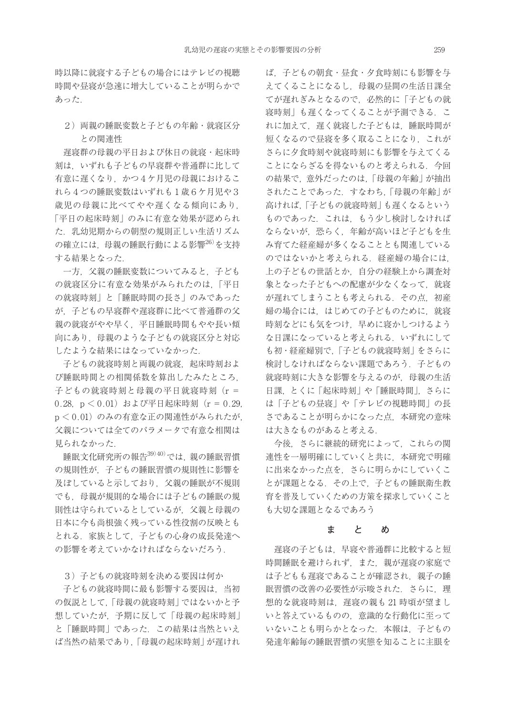時以降に就寝する子どもの場合にはテレビの視聴 時間や昼寝が急速に増大していることが明らかで あった.

## 2) 両親の睡眠変数と子どもの年齢・就寝区分 との関連性

遅寝群の母親の平日および休日の就寝・起床時 刻は,いずれも子どもの早寝群や普通群に比して 有意に遅くなり,かつ4ケ月児の母親におけるこ れら4つの睡眠変数はいずれも1歳6ケ月児や3 歳児の母親に比べてやや遅くなる傾向にあり. 「平日の起床時刻」のみに有意な効果が認められ た.乳幼児期からの朝型の規則正しい生活リズム の確立には、母親の睡眠行動による影響<sup>26)</sup>を支持 する結果となった.

一方,父親の睡眠変数についてみると,子ども の就寝区分に有意な効果がみられたのは,「平日 の就寝時刻」と「睡眠時間の長さ」のみであった が,子どもの早寝群や遅寝群に比べて普通群の父 親の就寝がやや早く,平日睡眠時間もやや長い傾 向にあり,母親のような子どもの就寝区分と対応 したような結果にはなっていなかった.

子どもの就寝時刻と両親の就寝,起床時刻およ び睡眠時間との相関係数を算出したみたところ, 子どもの就寝時刻と母親の平日就寝時刻(r = 0.28,  $p < 0.01$ ) および平日起床時刻 ( $r = 0.29$ ,  $p < 0.01$ )のみの有意な正の関連性がみられたが. 父親については全てのパラメータで有意な相関は 見られなかった.

睡眠文化研究所の報告39)40) では,親の睡眠習慣 の規則性が、子どもの睡眠習慣の規則性に影響を 及ぼしていると示しており,父親の睡眠が不規則 でも,母親が規則的な場合には子どもの睡眠の規 則性は守られているとしているが,父親と母親の 日本に今も尚根強く残っている性役割の反映とも とれる.家族として,子どもの心身の成長発達へ の影響を考えていかなければならないだろう.

3)子どもの就寝時刻を決める要因は何か

子どもの就寝時間に最も影響する要因は,当初 の仮説として,「母親の就寝時刻」ではないかと予 想していたが,予期に反して「母親の起床時刻」 と「睡眠時間」であった.この結果は当然といえ ば当然の結果であり,「母親の起床時刻」が遅けれ ば,子どもの朝食・昼食・夕食時刻にも影響を与 えてくることになるし、母親の昼間の生活日課全 てが遅れぎみとなるので,必然的に「子どもの就 寝時刻」も遅くなってくることが予測できる.こ れに加えて,遅く就寝した子どもは,睡眠時間が 短くなるので昼寝を多く取ることになり,これが さらに夕食時刻や就寝時刻にも影響を与えてくる ことにならざるを得ないものと考えられる. 今回 の結果で、意外だったのは、「母親の年齢」が抽出 されたことであった.すなわち,「母親の年齢」が 高ければ,「子どもの就寝時刻」も遅くなるという ものであった.これは,もう少し検討しなければ ならないが,恐らく,年齢が高いほど子どもを生 み育てた経産婦が多くなることとも関連している のではないかと考えられる. 経産婦の場合には, 上の子どもの世話とか,自分の経験上から調査対 象となった子どもへの配慮が少なくなって、就寝 が遅れてしまうことも考えられる.その点,初産 婦の場合には,はじめての子どものために,就寝 時刻などにも気をつけ,早めに寝かしつけるよう な日課になっていると考えられる.いずれにして も初・経産婦別で,「子どもの就寝時刻」をさらに 検討しなければならない課題であろう.子どもの 就寝時刻に大きな影響を与えるのが,母親の生活 日課, とくに「起床時刻」や「睡眠時間」, さらに は「子どもの昼寝」や「テレビの視聴時間」の長 さであることが明らかになった点,本研究の意味 は大きなものがあると考える.

今後,さらに継続的研究によって,これらの関 連性を一層明確にしていくと共に,本研究で明確 に出来なかった点を、さらに明らかにしていくこ とが課題となる.その上で,子どもの睡眠衛生教 育を普及していくための方策を探求していくこと も大切な課題となるであろう

#### **まとめ**

遅寝の子どもは,早寝や普通群に比較すると短 時間睡眠を避けられず、また、親が遅寝の家庭で は子どもも遅寝であることが確認され、親子の睡 眠習慣の改善の必要性が示唆された. さらに. 理 想的な就寝時刻は、遅寝の親も 21 時頃が望まし いと答えているものの,意識的な行動化に至って いないことも明らかとなった. 本報は、子どもの 発達年齢毎の睡眠習慣の実態を知ることに主眼を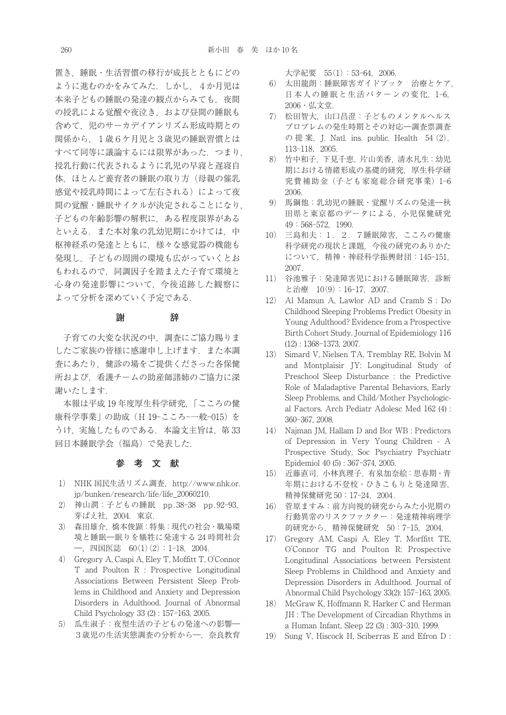置き,睡眠・生活習慣の移行が成長とともにどの ように進むのかをみてみた.しかし,4か月児は 本来子どもの睡眠の発達の観点からみても、夜間 の授乳による覚醒や夜泣き,および昼間の睡眠も 含めて,児のサーカデイアンリズム形成時期との 関係から,1歳6ケ月児と3歳児の睡眠習慣とは すべて同等に議論するには限界があった.つまり, 授乳行動に代表されるように乳児の早寝と遅寝自 体,ほとんど養育者の睡眠の取り方(母親の催乳 感覚や授乳時間によって左右される)によって夜 間の覚醒・睡眠サイクルが決定されることになり, 子どもの年齢影響の解釈に,ある程度限界がある といえる.また本対象の乳幼児期にかけては,中 枢神経系の発達とともに,様々な感覚器の機能も 発現し,子どもの周囲の環境も広がっていくとお もわれるので,同調因子を踏まえた子育て環境と 心身の発達影響について,今後追跡した観察に よって分析を深めていく予定である.

#### **謝 辞**

子育ての大変な状況の中,調査にご協力賜りま したご家族の皆様に感謝申し上げます. また本調 査にあたり,健診の場をご提供くださった各保健 所および,看護チームの助産師諸姉のご協力に深 謝いたします.

本報は平成 19 年度厚生科学研究,「こころの健 康科学事業」の助成(H 19-こころ-一般-015)を うけ、実施したものである. 本論文主旨は、第33 回日本睡眠学会(福島)で発表した.

### **参考文献**

- 1) NHK 国民生活リズム調査, http://www.nhk.or. jp/bunken/research/life/life\_20060210.
- 2) 神山潤:子どもの睡眠 pp.38-38 pp.92-93, 芽ばえ社, 2004. 東京.
- 3) 森田雄介,橋本俊顕:特集:現代の社会・職場環 境と睡眠―眠りを犠牲に発達する 24 時間社会 ―,四国医誌 60(1)(2):1-18,2004.
- 4) Gregory A, Caspi A, Eley T, Moffitt T, O'Connor T and Poulton R : Prospective Longitudinal Associations Between Persistent Sleep Problems in Childhood and Anxiety and Depression Disorders in Adulthood. Journal of Abnormal Child Psychology 33 (2) : 157-163, 2005.
- 5) 瓜生淑子:夜型生活の子どもの発達への影響― 3歳児の生活実態調査の分析から―,奈良教育

大学紀要 55(1):53-64,2006.

- 6) 太田龍朗:睡眠障害ガイドブック 治療とケア, 日本人の睡眠と生活パターンの変化,1-6, 2006・弘文堂.
- 7) 松田智大,山口昌澄:子どものメンタルヘルス プロブレムの発生時期とその対応―調査票調査 の 提 案, J. Natl. ins. public. Health  $54$  (2), 113-118,2005.
- 8) 竹中和子,下見千恵,片山美香,清水凡生:幼児 期における情緒形成の基礎的研究,厚生科学研 究費補助金(子ども家庭総合研究事業)1-6 2006.
- 9) 馬鋼他:乳幼児の睡眠・覚醒リズムの発達―秋 田県と東京都のデータによる,小児保健研究 49:568-572,1990.
- 10) 三島和夫:1.2.7睡眠障害,こころの健康 科学研究の現状と課題,今後の研究のありかた について,精神・神経科学振興財団:145-151, 2007.
- 11) 谷池雅子:発達障害児における睡眠障害,診断 と治療 10(9):16-17,2007.
- 12) Al Mamun A, Lawlor AD and Cramb S : Do Childhood Sleeping Problems Predict Obesity in Young Adulthood? Evidence from a Prospective Birth Cohort Study. Journal of Epidemiology 116 (12) : 1368-1373, 2007.
- 13) Simard V, Nielsen TA, Tremblay RE, Bolvin M and Montplaisir JY: Longitudinal Study of Preschool Sleep Disturbance : the Predictive Role of Maladaptive Parental Behaviors, Early Sleep Problems, and Child/Mother Psychological Factors. Arch Pediatr Adolesc Med 162 (4) : 360-367, 2008.
- 14) Najman JM, Hallam D and Bor WB : Predictors of Depression in Very Young Children - A Prospective Study, Soc Psychiatry Psychiatr Epidemiol 40 (5) : 367-374, 2005.
- 15) 近藤直司,小林真理子,有泉加奈絵:思春期・青 年期における不登校・ひきこもりと発達障害, 精神保健研究 50:17-24, 2004.
- 16) 菅原ますみ:前方向視的研究からみた小児期の 行動異常のリスクファクター:発達精神病理学 的研究から,精神保健研究 50:7-15,2004.
- 17) Gregory AM, Caspi A, Eley T, Morffitt TE, O'Connor TG and Poulton R: Prospective Longitudinal Associations between Persistent Sleep Problems in Childhood and Anxiety and Depression Disorders in Adulthood. Journal of Abnormal Child Psychology 33(2): 157-163, 2005.
- 18) McGraw K, Hoffmann R, Harker C and Herman JH : The Development of Circadian Rhythms in a Human Infant, Sleep 22 (3) : 303-310, 1999.
- 19) Sung V, Hiscock H, Sciberras E and Efron D :